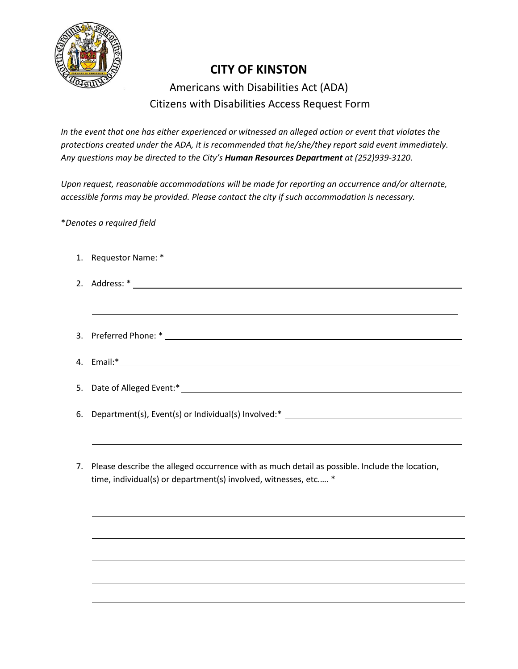

## **CITY OF KINSTON**

Americans with Disabilities Act (ADA) Citizens with Disabilities Access Request Form

*In the event that one has either experienced or witnessed an alleged action or event that violates the protections created under the ADA, it is recommended that he/she/they report said event immediately. Any questions may be directed to the City's Human Resources Department at (252)939-3120.*

*Upon request, reasonable accommodations will be made for reporting an occurrence and/or alternate, accessible forms may be provided. Please contact the city if such accommodation is necessary.* 

\**Denotes a required field*

| 6. Department(s), Event(s) or Individual(s) Involved:* __________________________                                                                                   |
|---------------------------------------------------------------------------------------------------------------------------------------------------------------------|
|                                                                                                                                                                     |
| 7. Please describe the alleged occurrence with as much detail as possible. Include the location,<br>time, individual(s) or department(s) involved, witnesses, etc * |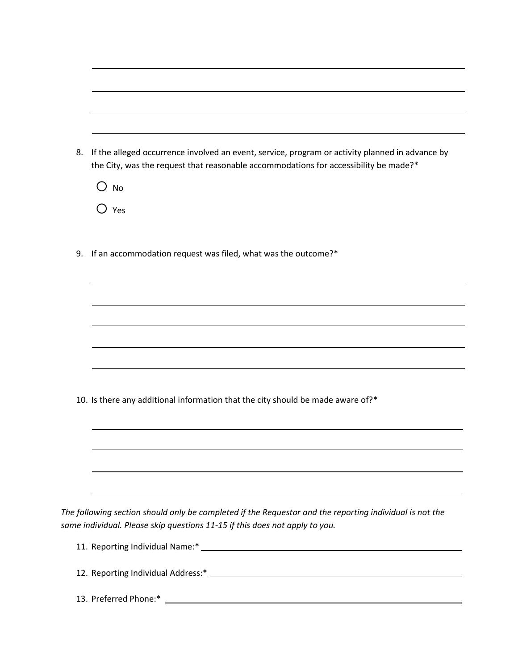| 8. | If the alleged occurrence involved an event, service, program or activity planned in advance by<br>the City, was the request that reasonable accommodations for accessibility be made?* |
|----|-----------------------------------------------------------------------------------------------------------------------------------------------------------------------------------------|
|    | $\bigcirc$ No                                                                                                                                                                           |
|    | $\bigcirc$ Yes                                                                                                                                                                          |
| 9. | If an accommodation request was filed, what was the outcome?*                                                                                                                           |
|    |                                                                                                                                                                                         |
|    |                                                                                                                                                                                         |
|    |                                                                                                                                                                                         |
|    |                                                                                                                                                                                         |
|    |                                                                                                                                                                                         |
|    | 10. Is there any additional information that the city should be made aware of?*                                                                                                         |
|    |                                                                                                                                                                                         |
|    |                                                                                                                                                                                         |
|    |                                                                                                                                                                                         |
|    |                                                                                                                                                                                         |
|    | ,我们也不能在这里的时候,我们也不能会在这里,我们也不能会在这里的时候,我们也不能会在这里的时候,我们也不能会在这里的时候,我们也不能会在这里的时候,我们也不能                                                                                                        |
|    | The following section should only be completed if the Requestor and the reporting individual is not the                                                                                 |
|    | same individual. Please skip questions 11-15 if this does not apply to you.                                                                                                             |
|    |                                                                                                                                                                                         |
|    |                                                                                                                                                                                         |
|    |                                                                                                                                                                                         |